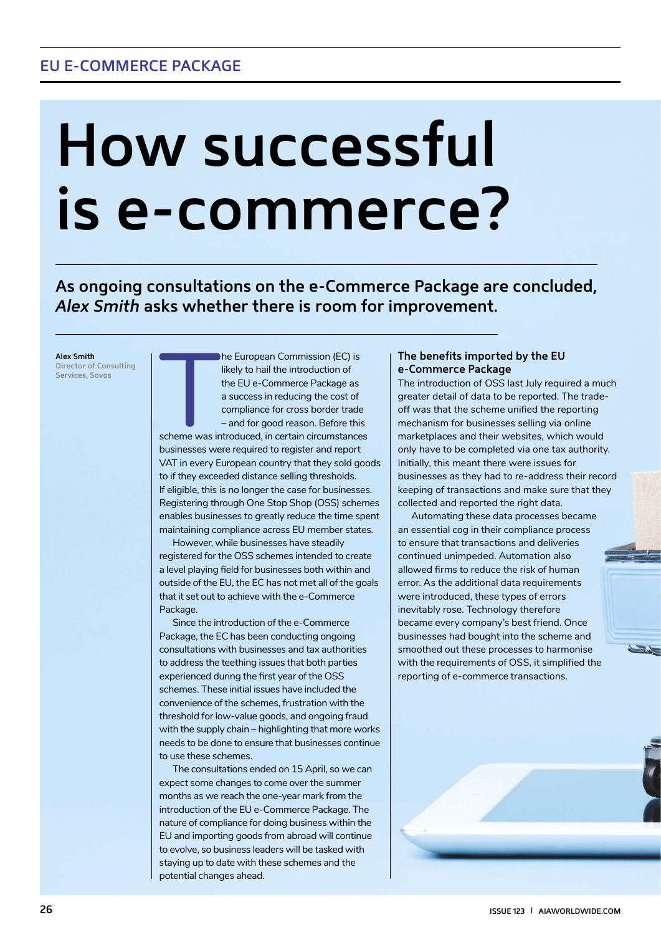# **How successful is e-commerce?**

**As ongoing consultations on the e-Commerce Package are concluded,** *Alex Smith* **asks whether there is room for improvement.**

**Alex Smith Director of Consulting Services, Sovos**

Scheme was in likely to hail the introduction of the EU e-Commerce Package as a success in reducing the cost of compliance for cross border trade – and for good reason. Before this scheme was introduced, in certain circumstances businesses were required to register and report VAT in every European country that they sold goods to if they exceeded distance selling thresholds. If eligible, this is no longer the case for businesses. Registering through One Stop Shop (OSS) schemes enables businesses to greatly reduce the time spent maintaining compliance across EU member states.

he European Commission (EC) is

However, while businesses have steadily registered for the OSS schemes intended to create a level playing field for businesses both within and outside of the EU, the EC has not met all of the goals that it set out to achieve with the e-Commerce Package.

Since the introduction of the e-Commerce Package, the EC has been conducting ongoing consultations with businesses and tax authorities to address the teething issues that both parties experienced during the first year of the OSS schemes. These initial issues have included the convenience of the schemes, frustration with the threshold for low-value goods, and ongoing fraud with the supply chain – highlighting that more works needs to be done to ensure that businesses continue to use these schemes.

The consultations ended on 15 April, so we can expect some changes to come over the summer months as we reach the one-year mark from the introduction of the EU e-Commerce Package. The nature of compliance for doing business within the EU and importing goods from abroad will continue to evolve, so business leaders will be tasked with staying up to date with these schemes and the potential changes ahead.

## **The benefits imported by the EU e-Commerce Package**

The introduction of OSS last July required a much greater detail of data to be reported. The tradeoff was that the scheme unified the reporting mechanism for businesses selling via online marketplaces and their websites, which would only have to be completed via one tax authority. Initially, this meant there were issues for businesses as they had to re-address their record keeping of transactions and make sure that they collected and reported the right data.

Automating these data processes became an essential cog in their compliance process to ensure that transactions and deliveries continued unimpeded. Automation also allowed firms to reduce the risk of human error. As the additional data requirements were introduced, these types of errors inevitably rose. Technology therefore became every company's best friend. Once businesses had bought into the scheme and smoothed out these processes to harmonise with the requirements of OSS, it simplified the reporting of e-commerce transactions.

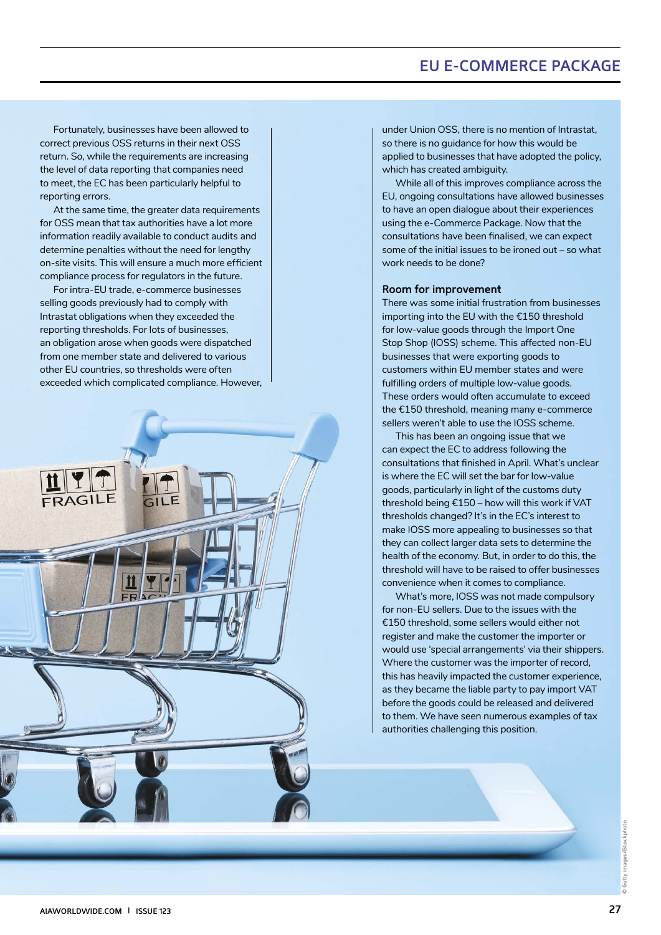## **EU E-COMMERCE PACKAGE**

Fortunately, businesses have been allowed to correct previous OSS returns in their next OSS return. So, while the requirements are increasing the level of data reporting that companies need to meet, the EC has been particularly helpful to reporting errors.

At the same time, the greater data requirements for OSS mean that tax authorities have a lot more information readily available to conduct audits and determine penalties without the need for lengthy on-site visits. This will ensure a much more efficient compliance process for regulators in the future.

For intra-EU trade, e-commerce businesses selling goods previously had to comply with Intrastat obligations when they exceeded the reporting thresholds. For lots of businesses, an obligation arose when goods were dispatched from one member state and delivered to various other EU countries, so thresholds were often exceeded which complicated compliance. However,



under Union OSS, there is no mention of Intrastat, so there is no guidance for how this would be applied to businesses that have adopted the policy, which has created ambiguity.

While all of this improves compliance across the EU, ongoing consultations have allowed businesses to have an open dialogue about their experiences using the e-Commerce Package. Now that the consultations have been finalised, we can expect some of the initial issues to be ironed out – so what work needs to be done?

#### **Room for improvement**

There was some initial frustration from businesses importing into the EU with the €150 threshold for low-value goods through the Import One Stop Shop (IOSS) scheme. This affected non-EU businesses that were exporting goods to customers within EU member states and were fulfilling orders of multiple low-value goods. These orders would often accumulate to exceed the €150 threshold, meaning many e-commerce sellers weren't able to use the IOSS scheme.

This has been an ongoing issue that we can expect the EC to address following the consultations that finished in April. What's unclear is where the EC will set the bar for low-value goods, particularly in light of the customs duty threshold being €150 – how will this work if VAT thresholds changed? It's in the EC's interest to make IOSS more appealing to businesses so that they can collect larger data sets to determine the health of the economy. But, in order to do this, the threshold will have to be raised to offer businesses convenience when it comes to compliance.

What's more, IOSS was not made compulsory for non-EU sellers. Due to the issues with the €150 threshold, some sellers would either not register and make the customer the importer or would use 'special arrangements' via their shippers. Where the customer was the importer of record, this has heavily impacted the customer experience, as they became the liable party to pay import VAT before the goods could be released and delivered to them. We have seen numerous examples of tax authorities challenging this position.